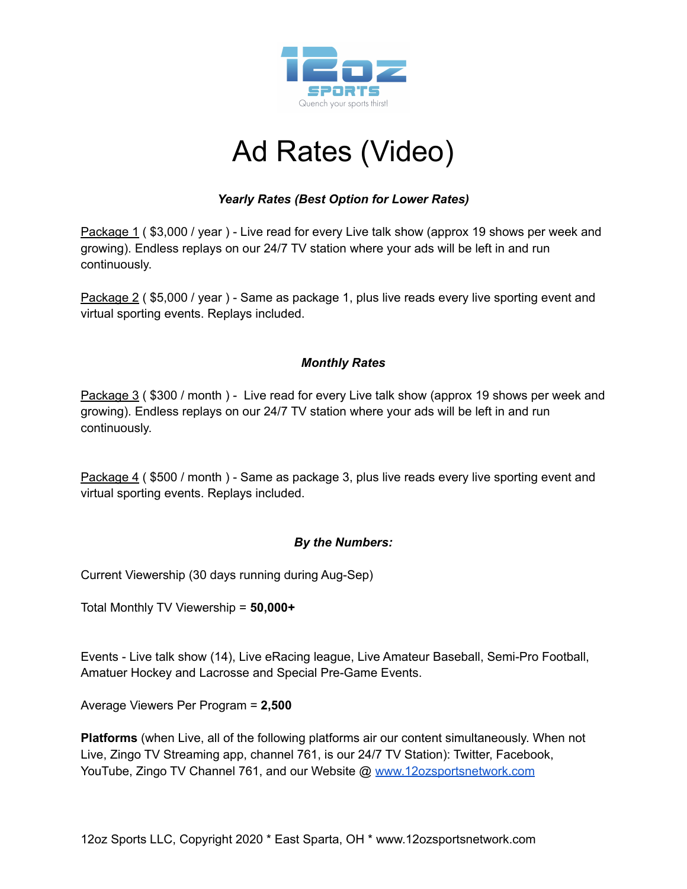

## Ad Rates (Video)

## *Yearly Rates (Best Option for Lower Rates)*

Package 1 (\$3,000 / year) - Live read for every Live talk show (approx 19 shows per week and growing). Endless replays on our 24/7 TV station where your ads will be left in and run continuously.

Package 2 ( \$5,000 / year ) - Same as package 1, plus live reads every live sporting event and virtual sporting events. Replays included.

#### *Monthly Rates*

Package 3 ( \$300 / month ) - Live read for every Live talk show (approx 19 shows per week and growing). Endless replays on our 24/7 TV station where your ads will be left in and run continuously.

Package 4 (\$500 / month) - Same as package 3, plus live reads every live sporting event and virtual sporting events. Replays included.

#### *By the Numbers:*

Current Viewership (30 days running during Aug-Sep)

Total Monthly TV Viewership = **50,000+**

Events - Live talk show (14), Live eRacing league, Live Amateur Baseball, Semi-Pro Football, Amatuer Hockey and Lacrosse and Special Pre-Game Events.

Average Viewers Per Program = **2,500**

**Platforms** (when Live, all of the following platforms air our content simultaneously. When not Live, Zingo TV Streaming app, channel 761, is our 24/7 TV Station): Twitter, Facebook, YouTube, Zingo TV Channel 761, and our Website @ [www.12ozsportsnetwork.com](http://www.12ozsportsnetwork.com)